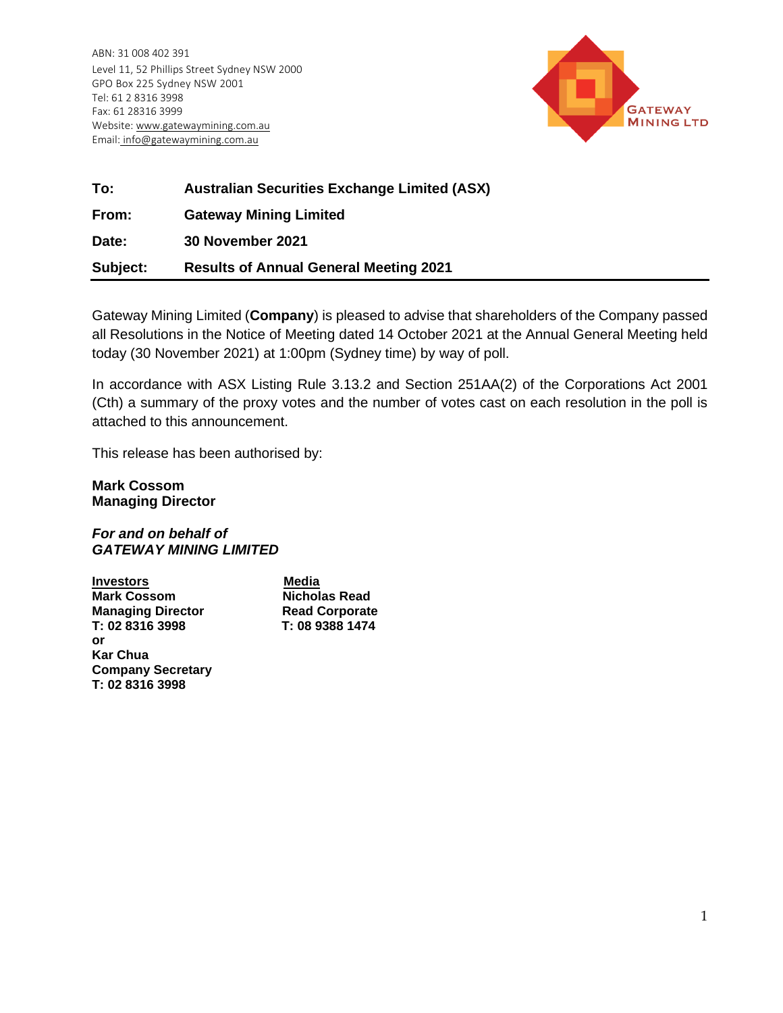ABN: 31 008 402 391 Level 11, 52 Phillips Street Sydney NSW 2000 GPO Box 225 Sydney NSW 2001 Tel: 61 2 8316 3998 Fax: 61 28316 3999 Website: www.gatewaymining.com.au Email: [info@gatewaymining.com.au](mailto:info@gatewaymining.com.au)



| To:      | <b>Australian Securities Exchange Limited (ASX)</b> |
|----------|-----------------------------------------------------|
| From:    | <b>Gateway Mining Limited</b>                       |
| Date:    | 30 November 2021                                    |
| Subject: | <b>Results of Annual General Meeting 2021</b>       |

Gateway Mining Limited (**Company**) is pleased to advise that shareholders of the Company passed all Resolutions in the Notice of Meeting dated 14 October 2021 at the Annual General Meeting held today (30 November 2021) at 1:00pm (Sydney time) by way of poll.

In accordance with ASX Listing Rule 3.13.2 and Section 251AA(2) of the Corporations Act 2001 (Cth) a summary of the proxy votes and the number of votes cast on each resolution in the poll is attached to this announcement.

This release has been authorised by:

**Mark Cossom Managing Director**

## *For and on behalf of GATEWAY MINING LIMITED*

**Investors** Media **Mark Cossom Nicholas Read Cossom Nicholas Read Ave Managing Director Read Corporate<br>T: 02 8316 3998 T: 08 9388 1474** T: 02 8316 3998 **or Kar Chua Company Secretary T: 02 8316 3998**